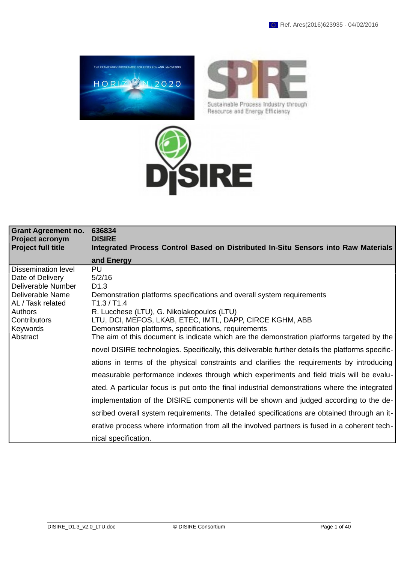



Sustainable Process Industry through Resource and Energy Efficiency



| <b>Grant Agreement no.</b><br><b>Project acronym</b><br><b>Project full title</b>                                                                                       | 636834<br><b>DISIRE</b><br>Integrated Process Control Based on Distributed In-Situ Sensors into Raw Materials                                                                                                                                                                                                                                                                                                                                                                                                                                                                                                                                                                                                                                                                                                                                                                                                                                                                                                                                                                       |
|-------------------------------------------------------------------------------------------------------------------------------------------------------------------------|-------------------------------------------------------------------------------------------------------------------------------------------------------------------------------------------------------------------------------------------------------------------------------------------------------------------------------------------------------------------------------------------------------------------------------------------------------------------------------------------------------------------------------------------------------------------------------------------------------------------------------------------------------------------------------------------------------------------------------------------------------------------------------------------------------------------------------------------------------------------------------------------------------------------------------------------------------------------------------------------------------------------------------------------------------------------------------------|
|                                                                                                                                                                         | and Energy                                                                                                                                                                                                                                                                                                                                                                                                                                                                                                                                                                                                                                                                                                                                                                                                                                                                                                                                                                                                                                                                          |
| Dissemination level<br>Date of Delivery<br>Deliverable Number<br>Deliverable Name<br>AL / Task related<br><b>Authors</b><br><b>Contributors</b><br>Keywords<br>Abstract | PU<br>5/2/16<br>D <sub>1.3</sub><br>Demonstration platforms specifications and overall system requirements<br>T1.3 / T1.4<br>R. Lucchese (LTU), G. Nikolakopoulos (LTU)<br>LTU, DCI, MEFOS, LKAB, ETEC, IMTL, DAPP, CIRCE KGHM, ABB<br>Demonstration platforms, specifications, requirements<br>The aim of this document is indicate which are the demonstration platforms targeted by the<br>novel DISIRE technologies. Specifically, this deliverable further details the platforms specific-<br>ations in terms of the physical constraints and clarifies the requirements by introducing<br>measurable performance indexes through which experiments and field trials will be evalu-<br>ated. A particular focus is put onto the final industrial demonstrations where the integrated<br>implementation of the DISIRE components will be shown and judged according to the de-<br>scribed overall system requirements. The detailed specifications are obtained through an it-<br>erative process where information from all the involved partners is fused in a coherent tech- |
|                                                                                                                                                                         | nical specification.                                                                                                                                                                                                                                                                                                                                                                                                                                                                                                                                                                                                                                                                                                                                                                                                                                                                                                                                                                                                                                                                |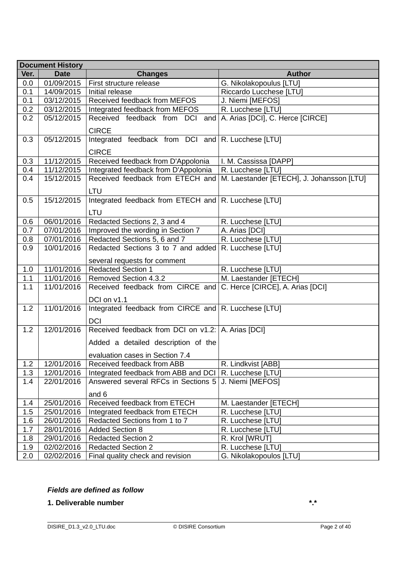|         | <b>Document History</b> |                                                                   |                                           |  |  |
|---------|-------------------------|-------------------------------------------------------------------|-------------------------------------------|--|--|
| Ver.    | <b>Date</b>             | <b>Changes</b>                                                    | <b>Author</b>                             |  |  |
| 0.0     | 01/09/2015              | First structure release                                           | G. Nikolakopoulus [LTU]                   |  |  |
| 0.1     | 14/09/2015              | Initial release                                                   | Riccardo Lucchese [LTU]                   |  |  |
| 0.1     | 03/12/2015              | Received feedback from MEFOS                                      | J. Niemi [MEFOS]                          |  |  |
| 0.2     | 03/12/2015              | Integrated feedback from MEFOS                                    | R. Lucchese [LTU]                         |  |  |
| 0.2     | 05/12/2015              | Received feedback from DCI and                                    | A. Arias [DCI], C. Herce [CIRCE]          |  |  |
|         |                         | <b>CIRCE</b>                                                      |                                           |  |  |
| 0.3     | 05/12/2015              | Integrated feedback from DCI and $ R$ . Lucchese $[LTU]$          |                                           |  |  |
|         |                         | <b>CIRCE</b>                                                      |                                           |  |  |
| 0.3     | 11/12/2015              | Received feedback from D'Appolonia                                | I. M. Cassissa [DAPP]                     |  |  |
| 0.4     | 11/12/2015              | Integrated feedback from D'Appolonia                              | R. Lucchese [LTU]                         |  |  |
| 0.4     | 15/12/2015              | Received feedback from ETECH and                                  | M. Laestander [ETECH], J. Johansson [LTU] |  |  |
|         |                         |                                                                   |                                           |  |  |
|         |                         | <b>LTU</b>                                                        |                                           |  |  |
| 0.5     | 15/12/2015              | Integrated feedback from ETECH and R. Lucchese [LTU]              |                                           |  |  |
|         |                         | LTU                                                               |                                           |  |  |
| 0.6     | 06/01/2016              | Redacted Sections 2, 3 and 4                                      | R. Lucchese [LTU]                         |  |  |
| 0.7     | 07/01/2016              | Improved the wording in Section 7                                 | A. Arias [DCI]                            |  |  |
| 0.8     | 07/01/2016              | Redacted Sections 5, 6 and 7                                      | R. Lucchese [LTU]                         |  |  |
| 0.9     | 10/01/2016              | Redacted Sections 3 to 7 and added                                | R. Lucchese [LTU]                         |  |  |
|         |                         | several requests for comment                                      |                                           |  |  |
| 1.0     | 11/01/2016              | <b>Redacted Section 1</b>                                         | R. Lucchese [LTU]                         |  |  |
| 1.1     | 11/01/2016              | Removed Section 4.3.2                                             | M. Laestander [ETECH]                     |  |  |
| 1.1     | 11/01/2016              | Received feedback from CIRCE and C. Herce [CIRCE], A. Arias [DCI] |                                           |  |  |
|         |                         | DCI on v1.1                                                       |                                           |  |  |
| 1.2     | 11/01/2016              | Integrated feedback from CIRCE and R. Lucchese [LTU]              |                                           |  |  |
|         |                         |                                                                   |                                           |  |  |
|         |                         | <b>DCI</b>                                                        |                                           |  |  |
| 1.2     | 12/01/2016              | Received feedback from DCI on $v1.2$ : A. Arias [DCI]             |                                           |  |  |
|         |                         | Added a detailed description of the                               |                                           |  |  |
|         |                         | evaluation cases in Section 7.4                                   |                                           |  |  |
| 1.2     | 12/01/2016              | Received feedback from ABB                                        | R. Lindkvist [ABB]                        |  |  |
| 1.3     | 12/01/2016              | Integrated feedback from ABB and DCI                              | R. Lucchese [LTU]                         |  |  |
| 1.4     | 22/01/2016              | Answered several RFCs in Sections 5                               | J. Niemi [MEFOS]                          |  |  |
|         |                         | and 6                                                             |                                           |  |  |
| $1.4\,$ | 25/01/2016              | Received feedback from ETECH                                      | M. Laestander [ETECH]                     |  |  |
| 1.5     | 25/01/2016              | Integrated feedback from ETECH                                    | R. Lucchese [LTU]                         |  |  |
| 1.6     | 26/01/2016              | Redacted Sections from 1 to 7                                     | R. Lucchese [LTU]                         |  |  |
| 1.7     | 28/01/2016              | <b>Added Section 8</b>                                            | R. Lucchese [LTU]                         |  |  |
| $1.8\,$ | 29/01/2016              | <b>Redacted Section 2</b>                                         | R. Krol [WRUT]                            |  |  |
| 1.9     | 02/02/2016              | <b>Redacted Section 2</b>                                         | R. Lucchese [LTU]                         |  |  |
| 2.0     | 02/02/2016              | Final quality check and revision                                  | G. Nikolakopoulos [LTU]                   |  |  |

## *Fields are defined as follow*

**1. Deliverable number \*.\***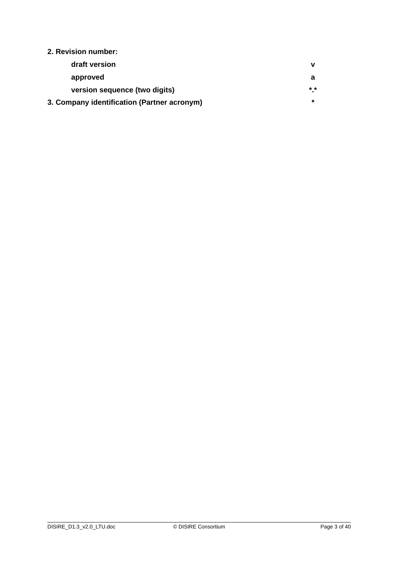## **2. Revision number:**

| draft version                               |               |
|---------------------------------------------|---------------|
| approved                                    |               |
| version sequence (two digits)               | $\star \star$ |
| 3. Company identification (Partner acronym) |               |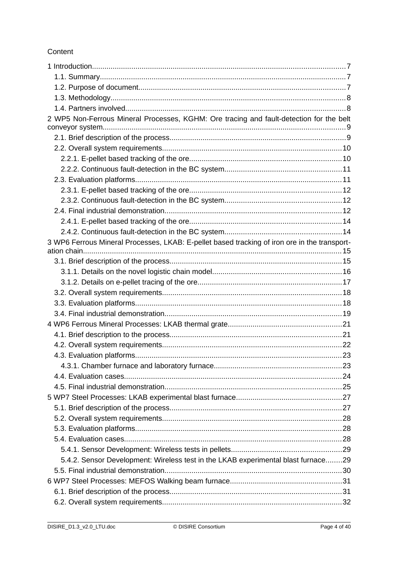## Content

| 2 WP5 Non-Ferrous Mineral Processes, KGHM: Ore tracing and fault-detection for the belt      |  |
|----------------------------------------------------------------------------------------------|--|
|                                                                                              |  |
|                                                                                              |  |
|                                                                                              |  |
|                                                                                              |  |
|                                                                                              |  |
|                                                                                              |  |
|                                                                                              |  |
|                                                                                              |  |
|                                                                                              |  |
|                                                                                              |  |
| 3 WP6 Ferrous Mineral Processes, LKAB: E-pellet based tracking of iron ore in the transport- |  |
|                                                                                              |  |
|                                                                                              |  |
|                                                                                              |  |
|                                                                                              |  |
|                                                                                              |  |
|                                                                                              |  |
|                                                                                              |  |
|                                                                                              |  |
|                                                                                              |  |
|                                                                                              |  |
|                                                                                              |  |
|                                                                                              |  |
|                                                                                              |  |
|                                                                                              |  |
|                                                                                              |  |
|                                                                                              |  |
|                                                                                              |  |
|                                                                                              |  |
|                                                                                              |  |
|                                                                                              |  |
| 5.4.2. Sensor Development: Wireless test in the LKAB experimental blast furnace29            |  |
|                                                                                              |  |
|                                                                                              |  |
|                                                                                              |  |
|                                                                                              |  |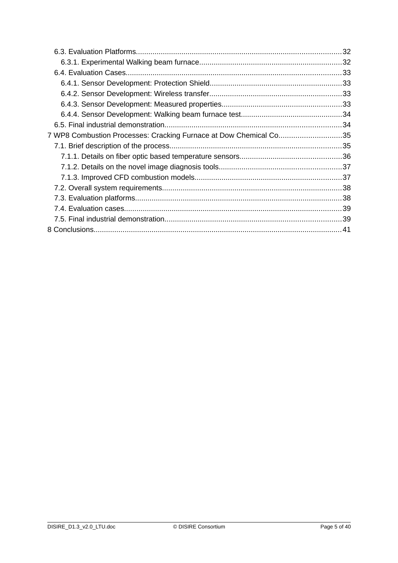| 7 WP8 Combustion Processes: Cracking Furnace at Dow Chemical Co35 |  |
|-------------------------------------------------------------------|--|
|                                                                   |  |
|                                                                   |  |
|                                                                   |  |
|                                                                   |  |
|                                                                   |  |
|                                                                   |  |
|                                                                   |  |
|                                                                   |  |
|                                                                   |  |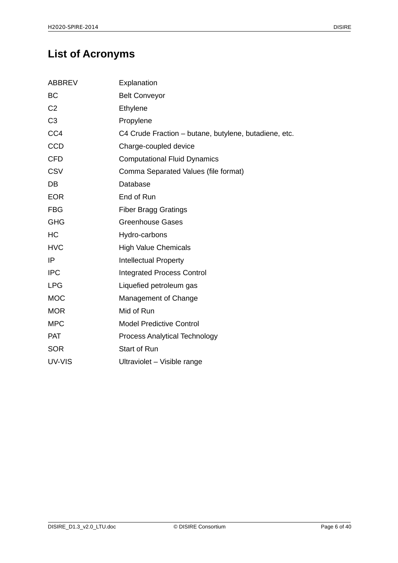# **List of Acronyms**

| <b>ABBREV</b>  | Explanation                                           |
|----------------|-------------------------------------------------------|
| <b>BC</b>      | <b>Belt Conveyor</b>                                  |
| C <sub>2</sub> | Ethylene                                              |
| C <sub>3</sub> | Propylene                                             |
| CC4            | C4 Crude Fraction - butane, butylene, butadiene, etc. |
| <b>CCD</b>     | Charge-coupled device                                 |
| <b>CFD</b>     | <b>Computational Fluid Dynamics</b>                   |
| <b>CSV</b>     | Comma Separated Values (file format)                  |
| DB             | Database                                              |
| <b>EOR</b>     | End of Run                                            |
| <b>FBG</b>     | <b>Fiber Bragg Gratings</b>                           |
| <b>GHG</b>     | <b>Greenhouse Gases</b>                               |
| HC             | Hydro-carbons                                         |
| <b>HVC</b>     | <b>High Value Chemicals</b>                           |
| IP             | <b>Intellectual Property</b>                          |
| <b>IPC</b>     | <b>Integrated Process Control</b>                     |
| <b>LPG</b>     | Liquefied petroleum gas                               |
| <b>MOC</b>     | Management of Change                                  |
| <b>MOR</b>     | Mid of Run                                            |
| <b>MPC</b>     | <b>Model Predictive Control</b>                       |
| <b>PAT</b>     | <b>Process Analytical Technology</b>                  |
| <b>SOR</b>     | <b>Start of Run</b>                                   |
| UV-VIS         | Ultraviolet - Visible range                           |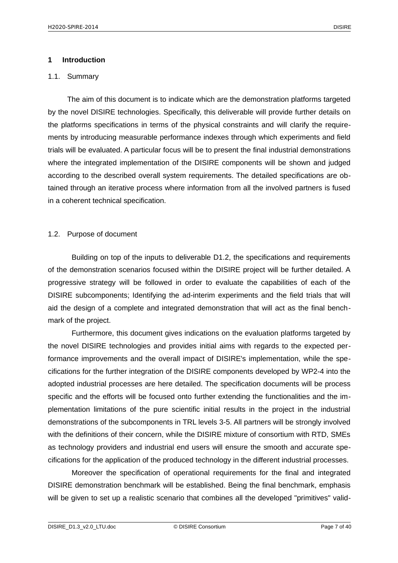#### <span id="page-6-2"></span>**1 Introduction**

#### <span id="page-6-1"></span>1.1. Summary

The aim of this document is to indicate which are the demonstration platforms targeted by the novel DISIRE technologies. Specifically, this deliverable will provide further details on the platforms specifications in terms of the physical constraints and will clarify the requirements by introducing measurable performance indexes through which experiments and field trials will be evaluated. A particular focus will be to present the final industrial demonstrations where the integrated implementation of the DISIRE components will be shown and judged according to the described overall system requirements. The detailed specifications are obtained through an iterative process where information from all the involved partners is fused in a coherent technical specification.

#### <span id="page-6-0"></span>1.2. Purpose of document

Building on top of the inputs to deliverable D1.2, the specifications and requirements of the demonstration scenarios focused within the DISIRE project will be further detailed. A progressive strategy will be followed in order to evaluate the capabilities of each of the DISIRE subcomponents; Identifying the ad-interim experiments and the field trials that will aid the design of a complete and integrated demonstration that will act as the final benchmark of the project.

Furthermore, this document gives indications on the evaluation platforms targeted by the novel DISIRE technologies and provides initial aims with regards to the expected performance improvements and the overall impact of DISIRE's implementation, while the specifications for the further integration of the DISIRE components developed by WP2-4 into the adopted industrial processes are here detailed. The specification documents will be process specific and the efforts will be focused onto further extending the functionalities and the implementation limitations of the pure scientific initial results in the project in the industrial demonstrations of the subcomponents in TRL levels 3-5. All partners will be strongly involved with the definitions of their concern, while the DISIRE mixture of consortium with RTD, SMEs as technology providers and industrial end users will ensure the smooth and accurate specifications for the application of the produced technology in the different industrial processes.

Moreover the specification of operational requirements for the final and integrated DISIRE demonstration benchmark will be established. Being the final benchmark, emphasis will be given to set up a realistic scenario that combines all the developed "primitives" valid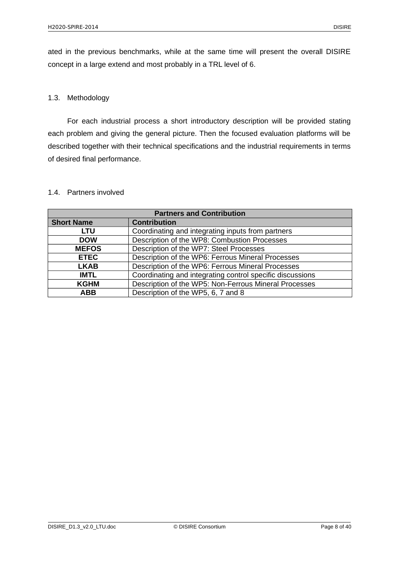ated in the previous benchmarks, while at the same time will present the overall DISIRE concept in a large extend and most probably in a TRL level of 6.

## <span id="page-7-1"></span>1.3. Methodology

For each industrial process a short introductory description will be provided stating each problem and giving the general picture. Then the focused evaluation platforms will be described together with their technical specifications and the industrial requirements in terms of desired final performance.

| <b>Partners and Contribution</b> |                                                           |  |
|----------------------------------|-----------------------------------------------------------|--|
| <b>Short Name</b>                | <b>Contribution</b>                                       |  |
| LTU                              | Coordinating and integrating inputs from partners         |  |
| <b>DOW</b>                       | Description of the WP8: Combustion Processes              |  |
| <b>MEFOS</b>                     | Description of the WP7: Steel Processes                   |  |
| <b>ETEC</b>                      | Description of the WP6: Ferrous Mineral Processes         |  |
| <b>LKAB</b>                      | Description of the WP6: Ferrous Mineral Processes         |  |
| <b>IMTL</b>                      | Coordinating and integrating control specific discussions |  |
| <b>KGHM</b>                      | Description of the WP5: Non-Ferrous Mineral Processes     |  |
| <b>ABB</b>                       | Description of the WP5, 6, 7 and 8                        |  |

#### <span id="page-7-0"></span>1.4. Partners involved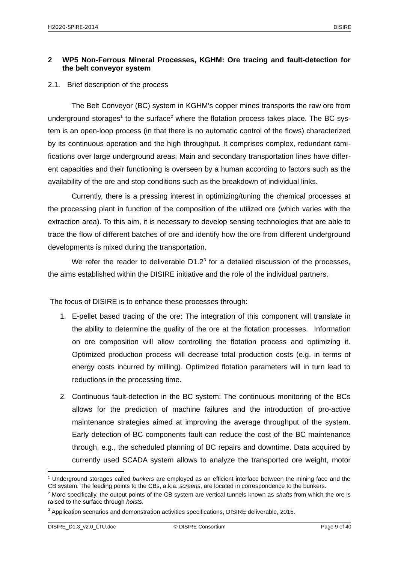## <span id="page-8-1"></span>**2 WP5 Non-Ferrous Mineral Processes, KGHM: Ore tracing and fault-detection for the belt conveyor system**

#### <span id="page-8-0"></span>2.1. Brief description of the process

The Belt Conveyor (BC) system in KGHM's copper mines transports the raw ore from underground storages<sup>[1](#page-8-2)</sup> to the surface<sup>[2](#page-8-3)</sup> where the flotation process takes place. The BC system is an open-loop process (in that there is no automatic control of the flows) characterized by its continuous operation and the high throughput. It comprises complex, redundant ramifications over large underground areas; Main and secondary transportation lines have different capacities and their functioning is overseen by a human according to factors such as the availability of the ore and stop conditions such as the breakdown of individual links.

Currently, there is a pressing interest in optimizing/tuning the chemical processes at the processing plant in function of the composition of the utilized ore (which varies with the extraction area). To this aim, it is necessary to develop sensing technologies that are able to trace the flow of different batches of ore and identify how the ore from different underground developments is mixed during the transportation.

We refer the reader to deliverable  $D1.2<sup>3</sup>$  $D1.2<sup>3</sup>$  $D1.2<sup>3</sup>$  for a detailed discussion of the processes, the aims established within the DISIRE initiative and the role of the individual partners.

The focus of DISIRE is to enhance these processes through:

- 1. E-pellet based tracing of the ore: The integration of this component will translate in the ability to determine the quality of the ore at the flotation processes.Information on ore composition will allow controlling the flotation process and optimizing it. Optimized production process will decrease total production costs (e.g. in terms of energy costs incurred by milling). Optimized flotation parameters will in turn lead to reductions in the processing time.
- 2. Continuous fault-detection in the BC system: The continuous monitoring of the BCs allows for the prediction of machine failures and the introduction of pro-active maintenance strategies aimed at improving the average throughput of the system. Early detection of BC components fault can reduce the cost of the BC maintenance through, e.g., the scheduled planning of BC repairs and downtime. Data acquired by currently used SCADA system allows to analyze the transported ore weight, motor

<span id="page-8-2"></span><sup>1</sup> Underground storages called *bunkers* are employed as an efficient interface between the mining face and the CB system. The feeding points to the CBs, a.k.a. *screens*, are located in correspondence to the bunkers.

<span id="page-8-3"></span><sup>2</sup> More specifically, the output points of the CB system are vertical tunnels known as *shafts* from which the ore is raised to the surface through *hoists*.

<span id="page-8-4"></span> $^3$  Application scenarios and demonstration activities specifications, DISIRE deliverable, 2015.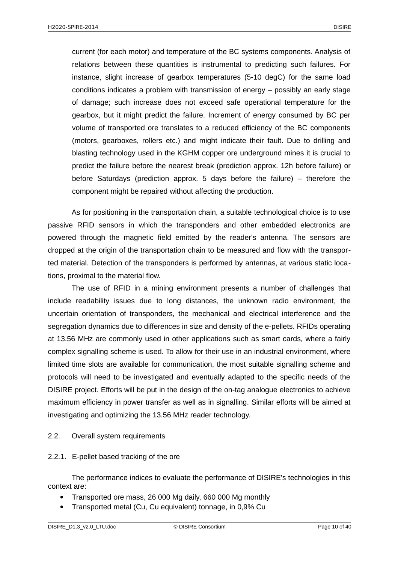current (for each motor) and temperature of the BC systems components. Analysis of relations between these quantities is instrumental to predicting such failures. For instance, slight increase of gearbox temperatures (5-10 degC) for the same load conditions indicates a problem with transmission of energy – possibly an early stage of damage; such increase does not exceed safe operational temperature for the gearbox, but it might predict the failure. Increment of energy consumed by BC per volume of transported ore translates to a reduced efficiency of the BC components (motors, gearboxes, rollers etc.) and might indicate their fault. Due to drilling and blasting technology used in the KGHM copper ore underground mines it is crucial to predict the failure before the nearest break (prediction approx. 12h before failure) or before Saturdays (prediction approx. 5 days before the failure) – therefore the component might be repaired without affecting the production.

As for positioning in the transportation chain, a suitable technological choice is to use passive RFID sensors in which the transponders and other embedded electronics are powered through the magnetic field emitted by the reader's antenna. The sensors are dropped at the origin of the transportation chain to be measured and flow with the transported material. Detection of the transponders is performed by antennas, at various static locations, proximal to the material flow.

The use of RFID in a mining environment presents a number of challenges that include readability issues due to long distances, the unknown radio environment, the uncertain orientation of transponders, the mechanical and electrical interference and the segregation dynamics due to differences in size and density of the e-pellets. RFIDs operating at 13.56 MHz are commonly used in other applications such as smart cards, where a fairly complex signalling scheme is used. To allow for their use in an industrial environment, where limited time slots are available for communication, the most suitable signalling scheme and protocols will need to be investigated and eventually adapted to the specific needs of the DISIRE project. Efforts will be put in the design of the on-tag analogue electronics to achieve maximum efficiency in power transfer as well as in signalling. Similar efforts will be aimed at investigating and optimizing the 13.56 MHz reader technology.

#### <span id="page-9-1"></span>2.2. Overall system requirements

#### <span id="page-9-0"></span>2.2.1. E-pellet based tracking of the ore

The performance indices to evaluate the performance of DISIRE's technologies in this context are:

- Transported ore mass, 26 000 Mg daily, 660 000 Mg monthly
- Transported metal (Cu, Cu equivalent) tonnage, in 0,9% Cu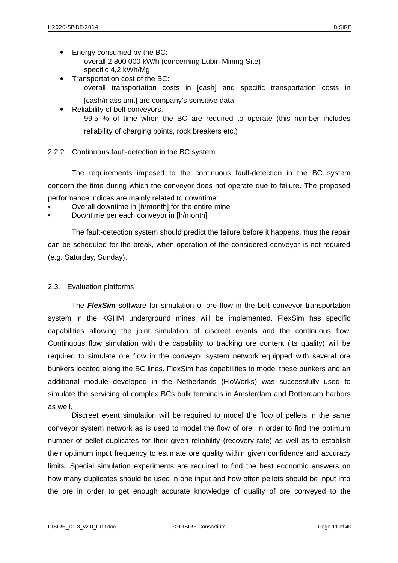- Energy consumed by the BC: overall 2 800 000 kW/h (concerning Lubin Mining Site) specific 4,2 kWh/Mg
- Transportation cost of the BC: overall transportation costs in [cash] and specific transportation costs in
- [cash/mass unit] are company's sensitive data Reliability of belt conveyors. 99,5 % of time when the BC are required to operate (this number includes reliability of charging points, rock breakers etc.)

## <span id="page-10-1"></span>2.2.2. Continuous fault-detection in the BC system

The requirements imposed to the continuous fault-detection in the BC system concern the time during which the conveyor does not operate due to failure. The proposed performance indices are mainly related to downtime:

- Overall downtime in [h/month] for the entire mine
- Downtime per each conveyor in [h/month]

The fault-detection system should predict the failure before it happens, thus the repair can be scheduled for the break, when operation of the considered conveyor is not required (e.g. Saturday, Sunday).

## <span id="page-10-0"></span>2.3. Evaluation platforms

The *FlexSim* software for simulation of ore flow in the belt conveyor transportation system in the KGHM underground mines will be implemented. FlexSim has specific capabilities allowing the joint simulation of discreet events and the continuous flow. Continuous flow simulation with the capability to tracking ore content (its quality) will be required to simulate ore flow in the conveyor system network equipped with several ore bunkers located along the BC lines. FlexSim has capabilities to model these bunkers and an additional module developed in the Netherlands (FloWorks) was successfully used to simulate the servicing of complex BCs bulk terminals in Amsterdam and Rotterdam harbors as well.

Discreet event simulation will be required to model the flow of pellets in the same conveyor system network as is used to model the flow of ore. In order to find the optimum number of pellet duplicates for their given reliability (recovery rate) as well as to establish their optimum input frequency to estimate ore quality within given confidence and accuracy limits. Special simulation experiments are required to find the best economic answers on how many duplicates should be used in one input and how often pellets should be input into the ore in order to get enough accurate knowledge of quality of ore conveyed to the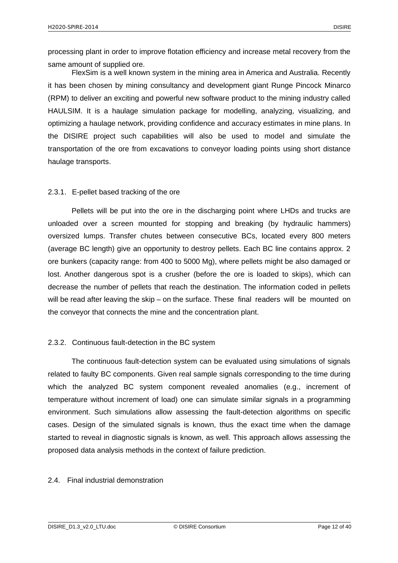processing plant in order to improve flotation efficiency and increase metal recovery from the same amount of supplied ore.

FlexSim is a well known system in the mining area in America and Australia. Recently it has been chosen by mining consultancy and development giant Runge Pincock Minarco (RPM) to deliver an exciting and powerful new software product to the mining industry called HAULSIM. It is a haulage simulation package for modelling, analyzing, visualizing, and optimizing a haulage network, providing confidence and accuracy estimates in mine plans. In the DISIRE project such capabilities will also be used to model and simulate the transportation of the ore from excavations to conveyor loading points using short distance haulage transports.

### <span id="page-11-2"></span>2.3.1. E-pellet based tracking of the ore

Pellets will be put into the ore in the discharging point where LHDs and trucks are unloaded over a screen mounted for stopping and breaking (by hydraulic hammers) oversized lumps. Transfer chutes between consecutive BCs, located every 800 meters (average BC length) give an opportunity to destroy pellets. Each BC line contains approx. 2 ore bunkers (capacity range: from 400 to 5000 Mg), where pellets might be also damaged or lost. Another dangerous spot is a crusher (before the ore is loaded to skips), which can decrease the number of pellets that reach the destination. The information coded in pellets will be read after leaving the skip – on the surface. These final readers will be mounted on the conveyor that connects the mine and the concentration plant.

## <span id="page-11-1"></span>2.3.2. Continuous fault-detection in the BC system

The continuous fault-detection system can be evaluated using simulations of signals related to faulty BC components. Given real sample signals corresponding to the time during which the analyzed BC system component revealed anomalies (e.g., increment of temperature without increment of load) one can simulate similar signals in a programming environment. Such simulations allow assessing the fault-detection algorithms on specific cases. Design of the simulated signals is known, thus the exact time when the damage started to reveal in diagnostic signals is known, as well. This approach allows assessing the proposed data analysis methods in the context of failure prediction.

### <span id="page-11-0"></span>2.4. Final industrial demonstration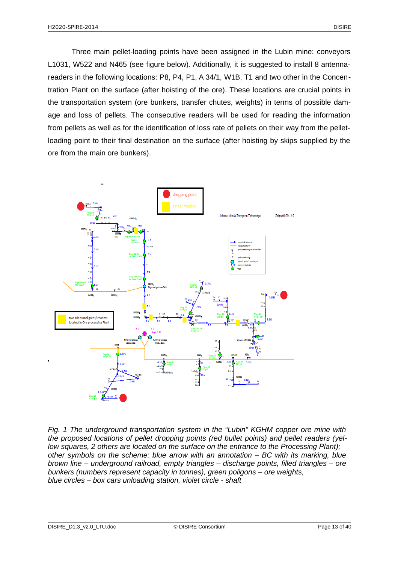Three main pellet-loading points have been assigned in the Lubin mine: conveyors L1031, W522 and N465 (see figure below). Additionally, it is suggested to install 8 antennareaders in the following locations: P8, P4, P1, A 34/1, W1B, T1 and two other in the Concentration Plant on the surface (after hoisting of the ore). These locations are crucial points in the transportation system (ore bunkers, transfer chutes, weights) in terms of possible damage and loss of pellets. The consecutive readers will be used for reading the information from pellets as well as for the identification of loss rate of pellets on their way from the pelletloading point to their final destination on the surface (after hoisting by skips supplied by the ore from the main ore bunkers).



*Fig. 1 The underground transportation system in the "Lubin" KGHM copper ore mine with the proposed locations of pellet dropping points (red bullet points) and pellet readers (yellow squares, 2 others are located on the surface on the entrance to the Processing Plant); other symbols on the scheme: blue arrow with an annotation – BC with its marking, blue brown line – underground railroad, empty triangles – discharge points, filled triangles – ore bunkers (numbers represent capacity in tonnes), green poligons – ore weights, blue circles – box cars unloading station, violet circle - shaft*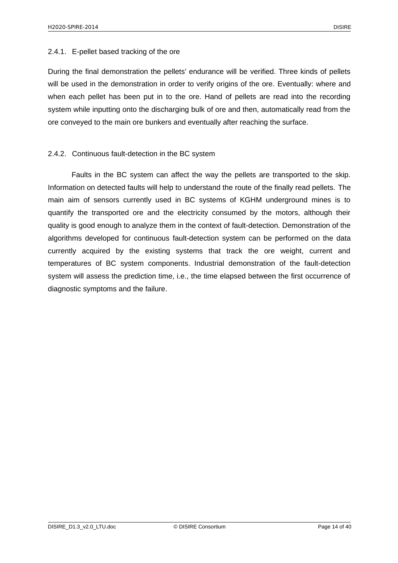#### <span id="page-13-1"></span>2.4.1. E-pellet based tracking of the ore

During the final demonstration the pellets' endurance will be verified. Three kinds of pellets will be used in the demonstration in order to verify origins of the ore. Eventually: where and when each pellet has been put in to the ore. Hand of pellets are read into the recording system while inputting onto the discharging bulk of ore and then, automatically read from the ore conveyed to the main ore bunkers and eventually after reaching the surface.

### <span id="page-13-0"></span>2.4.2. Continuous fault-detection in the BC system

Faults in the BC system can affect the way the pellets are transported to the skip. Information on detected faults will help to understand the route of the finally read pellets. The main aim of sensors currently used in BC systems of KGHM underground mines is to quantify the transported ore and the electricity consumed by the motors, although their quality is good enough to analyze them in the context of fault-detection. Demonstration of the algorithms developed for continuous fault-detection system can be performed on the data currently acquired by the existing systems that track the ore weight, current and temperatures of BC system components. Industrial demonstration of the fault-detection system will assess the prediction time, i.e., the time elapsed between the first occurrence of diagnostic symptoms and the failure.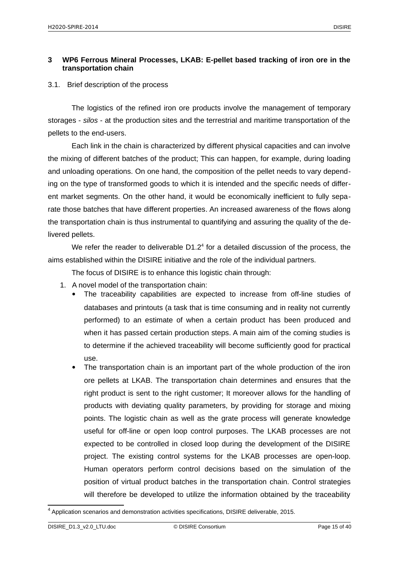## <span id="page-14-1"></span>**3 WP6 Ferrous Mineral Processes, LKAB: E-pellet based tracking of iron ore in the transportation chain**

### <span id="page-14-0"></span>3.1. Brief description of the process

The logistics of the refined iron ore products involve the management of temporary storages - *silos* - at the production sites and the terrestrial and maritime transportation of the pellets to the end-users.

Each link in the chain is characterized by different physical capacities and can involve the mixing of different batches of the product; This can happen, for example, during loading and unloading operations. On one hand, the composition of the pellet needs to vary depending on the type of transformed goods to which it is intended and the specific needs of different market segments. On the other hand, it would be economically inefficient to fully separate those batches that have different properties. An increased awareness of the flows along the transportation chain is thus instrumental to quantifying and assuring the quality of the delivered pellets.

We refer the reader to deliverable  $D1.2<sup>4</sup>$  $D1.2<sup>4</sup>$  $D1.2<sup>4</sup>$  for a detailed discussion of the process, the aims established within the DISIRE initiative and the role of the individual partners.

The focus of DISIRE is to enhance this logistic chain through:

- 1. A novel model of the transportation chain:
	- The traceability capabilities are expected to increase from off-line studies of databases and printouts (a task that is time consuming and in reality not currently performed) to an estimate of when a certain product has been produced and when it has passed certain production steps. A main aim of the coming studies is to determine if the achieved traceability will become sufficiently good for practical use.
	- The transportation chain is an important part of the whole production of the iron ore pellets at LKAB. The transportation chain determines and ensures that the right product is sent to the right customer; It moreover allows for the handling of products with deviating quality parameters, by providing for storage and mixing points. The logistic chain as well as the grate process will generate knowledge useful for off-line or open loop control purposes. The LKAB processes are not expected to be controlled in closed loop during the development of the DISIRE project. The existing control systems for the LKAB processes are open-loop. Human operators perform control decisions based on the simulation of the position of virtual product batches in the transportation chain. Control strategies will therefore be developed to utilize the information obtained by the traceability

<span id="page-14-2"></span> $^4$  Application scenarios and demonstration activities specifications, DISIRE deliverable, 2015.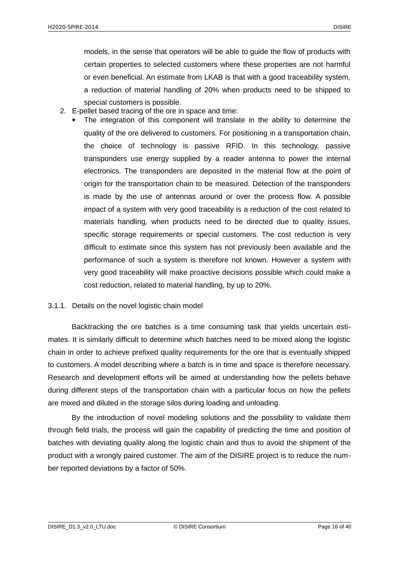models, in the sense that operators will be able to guide the flow of products with certain properties to selected customers where these properties are not harmful or even beneficial. An estimate from LKAB is that with a good traceability system, a reduction of material handling of 20% when products need to be shipped to special customers is possible.

- 2. E-pellet based tracing of the ore in space and time:
	- The integration of this component will translate in the ability to determine the quality of the ore delivered to customers. For positioning in a transportation chain, the choice of technology is passive RFID. In this technology, passive transponders use energy supplied by a reader antenna to power the internal electronics. The transponders are deposited in the material flow at the point of origin for the transportation chain to be measured. Detection of the transponders is made by the use of antennas around or over the process flow. A possible impact of a system with very good traceability is a reduction of the cost related to materials handling, when products need to be directed due to quality issues, specific storage requirements or special customers. The cost reduction is very difficult to estimate since this system has not previously been available and the performance of such a system is therefore not known. However a system with very good traceability will make proactive decisions possible which could make a cost reduction, related to material handling, by up to 20%.

### <span id="page-15-0"></span>3.1.1. Details on the novel logistic chain model

Backtracking the ore batches is a time consuming task that yields uncertain estimates. It is similarly difficult to determine which batches need to be mixed along the logistic chain in order to achieve prefixed quality requirements for the ore that is eventually shipped to customers. A model describing where a batch is in time and space is therefore necessary. Research and development efforts will be aimed at understanding how the pellets behave during different steps of the transportation chain with a particular focus on how the pellets are mixed and diluted in the storage silos during loading and unloading.

By the introduction of novel modeling solutions and the possibility to validate them through field trials, the process will gain the capability of predicting the time and position of batches with deviating quality along the logistic chain and thus to avoid the shipment of the product with a wrongly paired customer. The aim of the DISIRE project is to reduce the number reported deviations by a factor of 50%.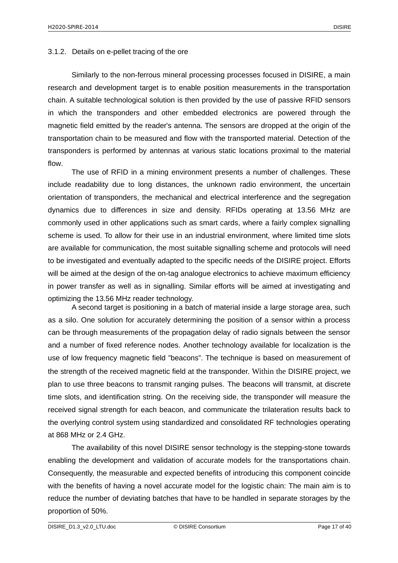#### <span id="page-16-0"></span>3.1.2. Details on e-pellet tracing of the ore

Similarly to the non-ferrous mineral processing processes focused in DISIRE, a main research and development target is to enable position measurements in the transportation chain. A suitable technological solution is then provided by the use of passive RFID sensors in which the transponders and other embedded electronics are powered through the magnetic field emitted by the reader's antenna. The sensors are dropped at the origin of the transportation chain to be measured and flow with the transported material. Detection of the transponders is performed by antennas at various static locations proximal to the material flow.

The use of RFID in a mining environment presents a number of challenges. These include readability due to long distances, the unknown radio environment, the uncertain orientation of transponders, the mechanical and electrical interference and the segregation dynamics due to differences in size and density. RFIDs operating at 13.56 MHz are commonly used in other applications such as smart cards, where a fairly complex signalling scheme is used. To allow for their use in an industrial environment, where limited time slots are available for communication, the most suitable signalling scheme and protocols will need to be investigated and eventually adapted to the specific needs of the DISIRE project. Efforts will be aimed at the design of the on-tag analogue electronics to achieve maximum efficiency in power transfer as well as in signalling. Similar efforts will be aimed at investigating and optimizing the 13.56 MHz reader technology.

A second target is positioning in a batch of material inside a large storage area, such as a silo. One solution for accurately determining the position of a sensor within a process can be through measurements of the propagation delay of radio signals between the sensor and a number of fixed reference nodes. Another technology available for localization is the use of low frequency magnetic field "beacons". The technique is based on measurement of the strength of the received magnetic field at the transponder. Within the DISIRE project, we plan to use three beacons to transmit ranging pulses. The beacons will transmit, at discrete time slots, and identification string. On the receiving side, the transponder will measure the received signal strength for each beacon, and communicate the trilateration results back to the overlying control system using standardized and consolidated RF technologies operating at 868 MHz or 2.4 GHz.

The availability of this novel DISIRE sensor technology is the stepping-stone towards enabling the development and validation of accurate models for the transportations chain. Consequently, the measurable and expected benefits of introducing this component coincide with the benefits of having a novel accurate model for the logistic chain: The main aim is to reduce the number of deviating batches that have to be handled in separate storages by the proportion of 50%.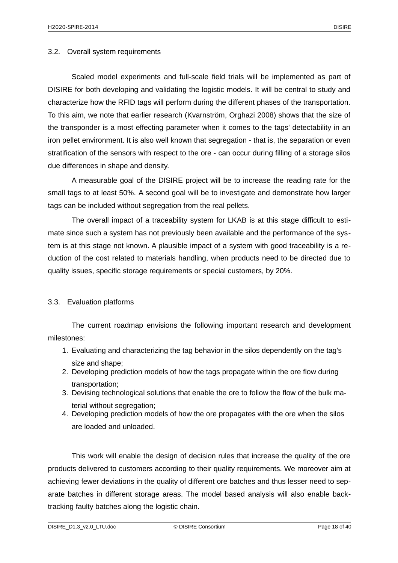#### <span id="page-17-1"></span>3.2. Overall system requirements

Scaled model experiments and full-scale field trials will be implemented as part of DISIRE for both developing and validating the logistic models. It will be central to study and characterize how the RFID tags will perform during the different phases of the transportation. To this aim, we note that earlier research (Kvarnström, Orghazi 2008) shows that the size of the transponder is a most effecting parameter when it comes to the tags' detectability in an iron pellet environment. It is also well known that segregation - that is, the separation or even stratification of the sensors with respect to the ore - can occur during filling of a storage silos due differences in shape and density.

A measurable goal of the DISIRE project will be to increase the reading rate for the small tags to at least 50%. A second goal will be to investigate and demonstrate how larger tags can be included without segregation from the real pellets.

The overall impact of a traceability system for LKAB is at this stage difficult to estimate since such a system has not previously been available and the performance of the system is at this stage not known. A plausible impact of a system with good traceability is a reduction of the cost related to materials handling, when products need to be directed due to quality issues, specific storage requirements or special customers, by 20%.

#### <span id="page-17-0"></span>3.3. Evaluation platforms

The current roadmap envisions the following important research and development milestones:

- 1. Evaluating and characterizing the tag behavior in the silos dependently on the tag's size and shape;
- 2. Developing prediction models of how the tags propagate within the ore flow during transportation;
- 3. Devising technological solutions that enable the ore to follow the flow of the bulk material without segregation;
- 4. Developing prediction models of how the ore propagates with the ore when the silos are loaded and unloaded.

This work will enable the design of decision rules that increase the quality of the ore products delivered to customers according to their quality requirements. We moreover aim at achieving fewer deviations in the quality of different ore batches and thus lesser need to separate batches in different storage areas. The model based analysis will also enable backtracking faulty batches along the logistic chain.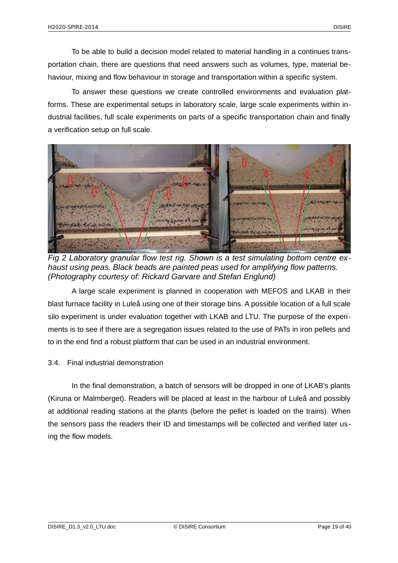To be able to build a decision model related to material handling in a continues transportation chain, there are questions that need answers such as volumes, type, material behaviour, mixing and flow behaviour in storage and transportation within a specific system.

To answer these questions we create controlled environments and evaluation platforms. These are experimental setups in laboratory scale, large scale experiments within industrial facilities, full scale experiments on parts of a specific transportation chain and finally a verification setup on full scale.



*Fig 2 Laboratory granular flow test rig. Shown is a test simulating bottom centre exhaust using peas. Black beads are painted peas used for amplifying flow patterns. (Photography courtesy of: Rickard Garvare and Stefan Englund)*

A large scale experiment is planned in cooperation with MEFOS and LKAB in their blast furnace facility in Luleå using one of their storage bins. A possible location of a full scale silo experiment is under evaluation together with LKAB and LTU. The purpose of the experiments is to see if there are a segregation issues related to the use of PATs in iron pellets and to in the end find a robust platform that can be used in an industrial environment.

## <span id="page-18-0"></span>3.4. Final industrial demonstration

In the final demonstration, a batch of sensors will be dropped in one of LKAB's plants (Kiruna or Malmberget). Readers will be placed at least in the harbour of Luleå and possibly at additional reading stations at the plants (before the pellet is loaded on the trains). When the sensors pass the readers their ID and timestamps will be collected and verified later using the flow models.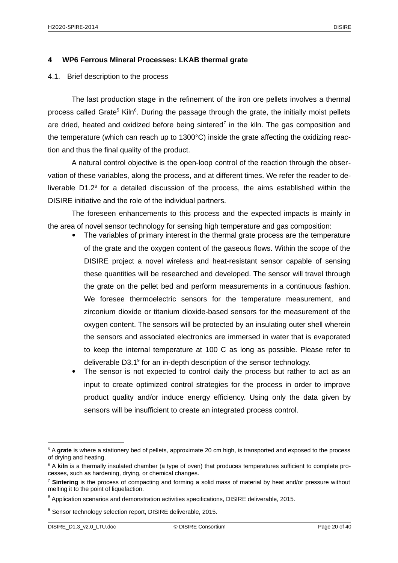#### <span id="page-19-1"></span>**4 WP6 Ferrous Mineral Processes: LKAB thermal grate**

#### <span id="page-19-0"></span>4.1. Brief description to the process

The last production stage in the refinement of the iron ore pellets involves a thermal process called Grate<sup>[5](#page-19-2)</sup> Kiln<sup>[6](#page-19-3)</sup>. During the passage through the grate, the initially moist pellets are dried, heated and oxidized before being sintered<sup>[7](#page-19-4)</sup> in the kiln. The gas composition and the temperature (which can reach up to 1300°C) inside the grate affecting the oxidizing reaction and thus the final quality of the product.

A natural control objective is the open-loop control of the reaction through the observation of these variables, along the process, and at different times. We refer the reader to deliverable  $D1.2<sup>8</sup>$  $D1.2<sup>8</sup>$  $D1.2<sup>8</sup>$  for a detailed discussion of the process, the aims established within the DISIRE initiative and the role of the individual partners.

The foreseen enhancements to this process and the expected impacts is mainly in the area of novel sensor technology for sensing high temperature and gas composition:

- The variables of primary interest in the thermal grate process are the temperature of the grate and the oxygen content of the gaseous flows. Within the scope of the DISIRE project a novel wireless and heat-resistant sensor capable of sensing these quantities will be researched and developed. The sensor will travel through the grate on the pellet bed and perform measurements in a continuous fashion. We foresee thermoelectric sensors for the temperature measurement, and zirconium dioxide or titanium dioxide-based sensors for the measurement of the oxygen content. The sensors will be protected by an insulating outer shell wherein the sensors and associated electronics are immersed in water that is evaporated to keep the internal temperature at 100 C as long as possible. Please refer to deliverable D3.1 $^9$  $^9$  for an in-depth description of the sensor technology.
- The sensor is not expected to control daily the process but rather to act as an input to create optimized control strategies for the process in order to improve product quality and/or induce energy efficiency. Using only the data given by sensors will be insufficient to create an integrated process control.

<span id="page-19-2"></span><sup>5</sup> A **grate** is where a stationery bed of pellets, approximate 20 cm high, is transported and exposed to the process of drying and heating.

<span id="page-19-3"></span><sup>&</sup>lt;sup>6</sup> A kiln is a thermally insulated chamber (a type of oven) that produces temperatures sufficient to complete processes, such as hardening, drying, or chemical changes.

<span id="page-19-4"></span><sup>7</sup> **Sintering** is the process of compacting and forming a solid mass of material by heat and/or pressure without melting it to the point of liquefaction.

<span id="page-19-5"></span> $^8$  Application scenarios and demonstration activities specifications, DISIRE deliverable, 2015.

<span id="page-19-6"></span><sup>&</sup>lt;sup>9</sup> Sensor technology selection report, DISIRE deliverable, 2015.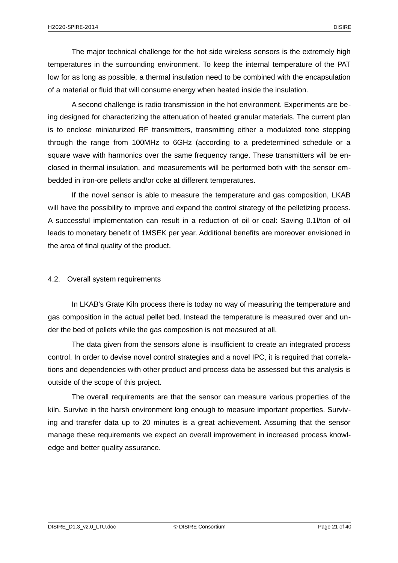The major technical challenge for the hot side wireless sensors is the extremely high temperatures in the surrounding environment. To keep the internal temperature of the PAT low for as long as possible, a thermal insulation need to be combined with the encapsulation of a material or fluid that will consume energy when heated inside the insulation.

A second challenge is radio transmission in the hot environment. Experiments are being designed for characterizing the attenuation of heated granular materials. The current plan is to enclose miniaturized RF transmitters, transmitting either a modulated tone stepping through the range from 100MHz to 6GHz (according to a predetermined schedule or a square wave with harmonics over the same frequency range. These transmitters will be enclosed in thermal insulation, and measurements will be performed both with the sensor embedded in iron-ore pellets and/or coke at different temperatures.

If the novel sensor is able to measure the temperature and gas composition, LKAB will have the possibility to improve and expand the control strategy of the pelletizing process. A successful implementation can result in a reduction of oil or coal: Saving 0.1l/ton of oil leads to monetary benefit of 1MSEK per year. Additional benefits are moreover envisioned in the area of final quality of the product.

## <span id="page-20-0"></span>4.2. Overall system requirements

In LKAB's Grate Kiln process there is today no way of measuring the temperature and gas composition in the actual pellet bed. Instead the temperature is measured over and under the bed of pellets while the gas composition is not measured at all.

The data given from the sensors alone is insufficient to create an integrated process control. In order to devise novel control strategies and a novel IPC, it is required that correlations and dependencies with other product and process data be assessed but this analysis is outside of the scope of this project.

The overall requirements are that the sensor can measure various properties of the kiln. Survive in the harsh environment long enough to measure important properties. Surviving and transfer data up to 20 minutes is a great achievement. Assuming that the sensor manage these requirements we expect an overall improvement in increased process knowledge and better quality assurance.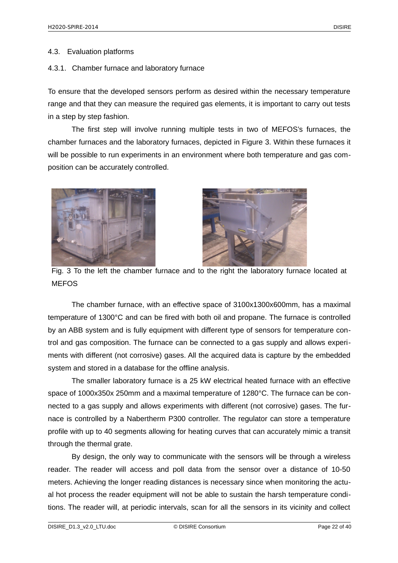#### <span id="page-21-1"></span>4.3. Evaluation platforms

#### <span id="page-21-0"></span>4.3.1. Chamber furnace and laboratory furnace

To ensure that the developed sensors perform as desired within the necessary temperature range and that they can measure the required gas elements, it is important to carry out tests in a step by step fashion.

The first step will involve running multiple tests in two of MEFOS's furnaces, the chamber furnaces and the laboratory furnaces, depicted in Figure 3. Within these furnaces it will be possible to run experiments in an environment where both temperature and gas composition can be accurately controlled.





Fig. 3 To the left the chamber furnace and to the right the laboratory furnace located at MEFOS

The chamber furnace, with an effective space of 3100x1300x600mm, has a maximal temperature of 1300°C and can be fired with both oil and propane. The furnace is controlled by an ABB system and is fully equipment with different type of sensors for temperature control and gas composition. The furnace can be connected to a gas supply and allows experiments with different (not corrosive) gases. All the acquired data is capture by the embedded system and stored in a database for the offline analysis.

The smaller laboratory furnace is a 25 kW electrical heated furnace with an effective space of 1000x350x 250mm and a maximal temperature of 1280°C. The furnace can be connected to a gas supply and allows experiments with different (not corrosive) gases. The furnace is controlled by a Nabertherm P300 controller. The regulator can store a temperature profile with up to 40 segments allowing for heating curves that can accurately mimic a transit through the thermal grate.

By design, the only way to communicate with the sensors will be through a wireless reader. The reader will access and poll data from the sensor over a distance of 10-50 meters. Achieving the longer reading distances is necessary since when monitoring the actual hot process the reader equipment will not be able to sustain the harsh temperature conditions. The reader will, at periodic intervals, scan for all the sensors in its vicinity and collect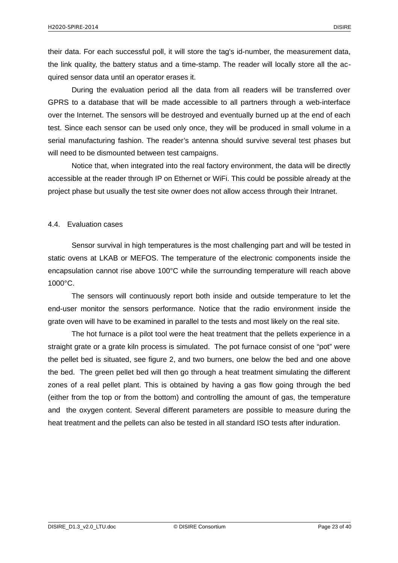their data. For each successful poll, it will store the tag's id-number, the measurement data, the link quality, the battery status and a time-stamp. The reader will locally store all the acquired sensor data until an operator erases it.

During the evaluation period all the data from all readers will be transferred over GPRS to a database that will be made accessible to all partners through a web-interface over the Internet. The sensors will be destroyed and eventually burned up at the end of each test. Since each sensor can be used only once, they will be produced in small volume in a serial manufacturing fashion. The reader's antenna should survive several test phases but will need to be dismounted between test campaigns.

Notice that, when integrated into the real factory environment, the data will be directly accessible at the reader through IP on Ethernet or WiFi. This could be possible already at the project phase but usually the test site owner does not allow access through their Intranet.

#### <span id="page-22-0"></span>4.4. Evaluation cases

Sensor survival in high temperatures is the most challenging part and will be tested in static ovens at LKAB or MEFOS. The temperature of the electronic components inside the encapsulation cannot rise above 100°C while the surrounding temperature will reach above 1000°C.

The sensors will continuously report both inside and outside temperature to let the end-user monitor the sensors performance. Notice that the radio environment inside the grate oven will have to be examined in parallel to the tests and most likely on the real site.

The hot furnace is a pilot tool were the heat treatment that the pellets experience in a straight grate or a grate kiln process is simulated. The pot furnace consist of one "pot" were the pellet bed is situated, see figure 2, and two burners, one below the bed and one above the bed. The green pellet bed will then go through a heat treatment simulating the different zones of a real pellet plant. This is obtained by having a gas flow going through the bed (either from the top or from the bottom) and controlling the amount of gas, the temperature and the oxygen content. Several different parameters are possible to measure during the heat treatment and the pellets can also be tested in all standard ISO tests after induration.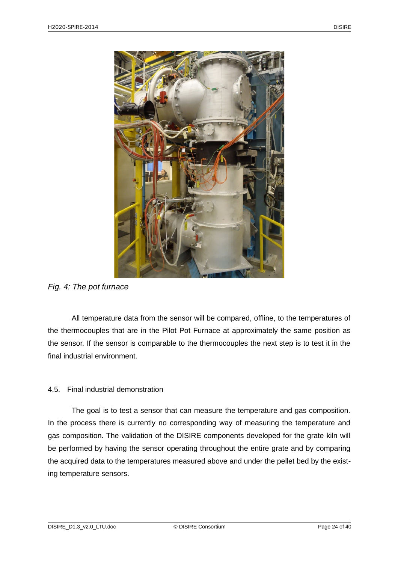

*Fig. 4: The pot furnace*

All temperature data from the sensor will be compared, offline, to the temperatures of the thermocouples that are in the Pilot Pot Furnace at approximately the same position as the sensor. If the sensor is comparable to the thermocouples the next step is to test it in the final industrial environment.

## <span id="page-23-0"></span>4.5. Final industrial demonstration

The goal is to test a sensor that can measure the temperature and gas composition. In the process there is currently no corresponding way of measuring the temperature and gas composition. The validation of the DISIRE components developed for the grate kiln will be performed by having the sensor operating throughout the entire grate and by comparing the acquired data to the temperatures measured above and under the pellet bed by the existing temperature sensors.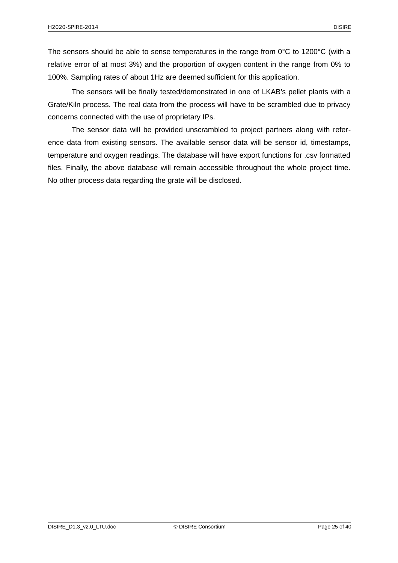The sensors should be able to sense temperatures in the range from  $0^{\circ}$ C to 1200 $^{\circ}$ C (with a relative error of at most 3%) and the proportion of oxygen content in the range from 0% to 100%. Sampling rates of about 1Hz are deemed sufficient for this application.

The sensors will be finally tested/demonstrated in one of LKAB's pellet plants with a Grate/Kiln process. The real data from the process will have to be scrambled due to privacy concerns connected with the use of proprietary IPs.

The sensor data will be provided unscrambled to project partners along with reference data from existing sensors. The available sensor data will be sensor id, timestamps, temperature and oxygen readings. The database will have export functions for .csv formatted files. Finally, the above database will remain accessible throughout the whole project time. No other process data regarding the grate will be disclosed.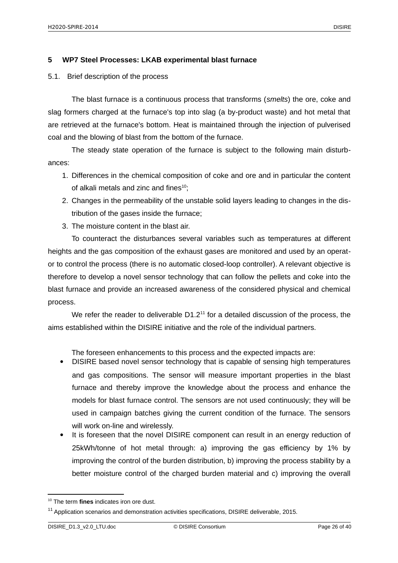## <span id="page-25-1"></span>**5 WP7 Steel Processes: LKAB experimental blast furnace**

### <span id="page-25-0"></span>5.1. Brief description of the process

The blast furnace is a continuous process that transforms (*smelts*) the ore, coke and slag formers charged at the furnace's top into slag (a by-product waste) and hot metal that are retrieved at the furnace's bottom. Heat is maintained through the injection of pulverised coal and the blowing of blast from the bottom of the furnace.

The steady state operation of the furnace is subject to the following main disturbances:

- 1. Differences in the chemical composition of coke and ore and in particular the content of alkali metals and zinc and fines $10$ ;
- 2. Changes in the permeability of the unstable solid layers leading to changes in the distribution of the gases inside the furnace;
- 3. The moisture content in the blast air.

To counteract the disturbances several variables such as temperatures at different heights and the gas composition of the exhaust gases are monitored and used by an operator to control the process (there is no automatic closed-loop controller). A relevant objective is therefore to develop a novel sensor technology that can follow the pellets and coke into the blast furnace and provide an increased awareness of the considered physical and chemical process.

We refer the reader to deliverable  $D1.2<sup>11</sup>$  $D1.2<sup>11</sup>$  $D1.2<sup>11</sup>$  for a detailed discussion of the process, the aims established within the DISIRE initiative and the role of the individual partners.

The foreseen enhancements to this process and the expected impacts are:

- DISIRE based novel sensor technology that is capable of sensing high temperatures and gas compositions. The sensor will measure important properties in the blast furnace and thereby improve the knowledge about the process and enhance the models for blast furnace control. The sensors are not used continuously; they will be used in campaign batches giving the current condition of the furnace. The sensors will work on-line and wirelessly.
- It is foreseen that the novel DISIRE component can result in an energy reduction of 25kWh/tonne of hot metal through: a) improving the gas efficiency by 1% by improving the control of the burden distribution, b) improving the process stability by a better moisture control of the charged burden material and c) improving the overall

<span id="page-25-2"></span><sup>10</sup> The term **fines** indicates iron ore dust.

<span id="page-25-3"></span> $11$  Application scenarios and demonstration activities specifications, DISIRE deliverable, 2015.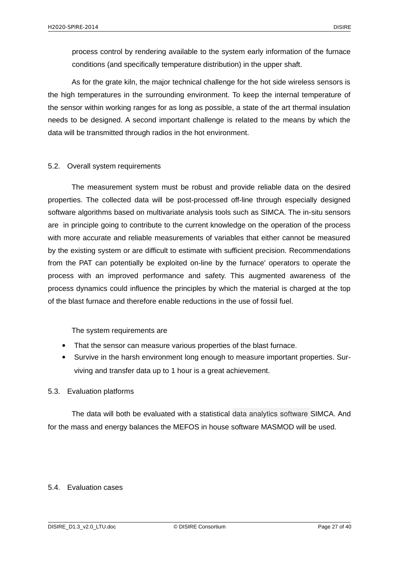process control by rendering available to the system early information of the furnace conditions (and specifically temperature distribution) in the upper shaft.

As for the grate kiln, the major technical challenge for the hot side wireless sensors is the high temperatures in the surrounding environment. To keep the internal temperature of the sensor within working ranges for as long as possible, a state of the art thermal insulation needs to be designed. A second important challenge is related to the means by which the data will be transmitted through radios in the hot environment.

## <span id="page-26-2"></span>5.2. Overall system requirements

The measurement system must be robust and provide reliable data on the desired properties. The collected data will be post-processed off-line through especially designed software algorithms based on multivariate analysis tools such as SIMCA. The in-situ sensors are in principle going to contribute to the current knowledge on the operation of the process with more accurate and reliable measurements of variables that either cannot be measured by the existing system or are difficult to estimate with sufficient precision. Recommendations from the PAT can potentially be exploited on-line by the furnace' operators to operate the process with an improved performance and safety. This augmented awareness of the process dynamics could influence the principles by which the material is charged at the top of the blast furnace and therefore enable reductions in the use of fossil fuel.

The system requirements are

- That the sensor can measure various properties of the blast furnace.
- Survive in the harsh environment long enough to measure important properties. Surviving and transfer data up to 1 hour is a great achievement.

### <span id="page-26-1"></span>5.3. Evaluation platforms

The data will both be evaluated with a statistical data analytics software SIMCA. And for the mass and energy balances the MEFOS in house software MASMOD will be used.

### <span id="page-26-0"></span>5.4. Evaluation cases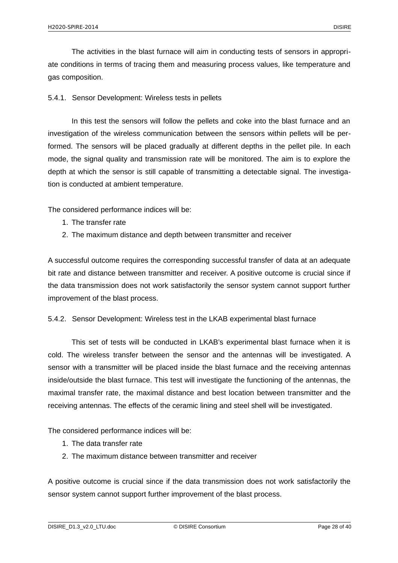The activities in the blast furnace will aim in conducting tests of sensors in appropriate conditions in terms of tracing them and measuring process values, like temperature and gas composition.

<span id="page-27-1"></span>5.4.1. Sensor Development: Wireless tests in pellets

In this test the sensors will follow the pellets and coke into the blast furnace and an investigation of the wireless communication between the sensors within pellets will be performed. The sensors will be placed gradually at different depths in the pellet pile. In each mode, the signal quality and transmission rate will be monitored. The aim is to explore the depth at which the sensor is still capable of transmitting a detectable signal. The investigation is conducted at ambient temperature.

The considered performance indices will be:

- 1. The transfer rate
- 2. The maximum distance and depth between transmitter and receiver

A successful outcome requires the corresponding successful transfer of data at an adequate bit rate and distance between transmitter and receiver. A positive outcome is crucial since if the data transmission does not work satisfactorily the sensor system cannot support further improvement of the blast process.

<span id="page-27-0"></span>5.4.2. Sensor Development: Wireless test in the LKAB experimental blast furnace

This set of tests will be conducted in LKAB's experimental blast furnace when it is cold. The wireless transfer between the sensor and the antennas will be investigated. A sensor with a transmitter will be placed inside the blast furnace and the receiving antennas inside/outside the blast furnace. This test will investigate the functioning of the antennas, the maximal transfer rate, the maximal distance and best location between transmitter and the receiving antennas. The effects of the ceramic lining and steel shell will be investigated.

The considered performance indices will be:

- 1. The data transfer rate
- 2. The maximum distance between transmitter and receiver

A positive outcome is crucial since if the data transmission does not work satisfactorily the sensor system cannot support further improvement of the blast process.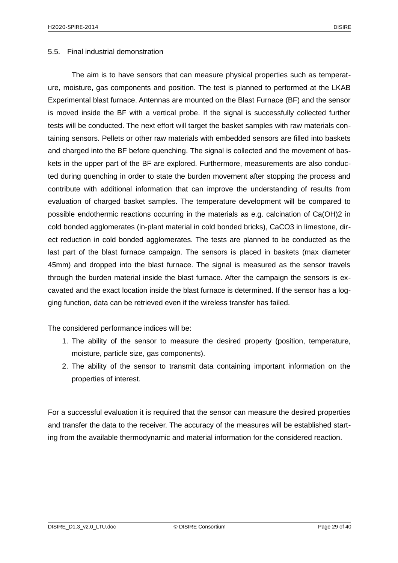#### <span id="page-28-0"></span>5.5. Final industrial demonstration

The aim is to have sensors that can measure physical properties such as temperature, moisture, gas components and position. The test is planned to performed at the LKAB Experimental blast furnace. Antennas are mounted on the Blast Furnace (BF) and the sensor is moved inside the BF with a vertical probe. If the signal is successfully collected further tests will be conducted. The next effort will target the basket samples with raw materials containing sensors. Pellets or other raw materials with embedded sensors are filled into baskets and charged into the BF before quenching. The signal is collected and the movement of baskets in the upper part of the BF are explored. Furthermore, measurements are also conducted during quenching in order to state the burden movement after stopping the process and contribute with additional information that can improve the understanding of results from evaluation of charged basket samples. The temperature development will be compared to possible endothermic reactions occurring in the materials as e.g. calcination of Ca(OH)2 in cold bonded agglomerates (in-plant material in cold bonded bricks), CaCO3 in limestone, direct reduction in cold bonded agglomerates. The tests are planned to be conducted as the last part of the blast furnace campaign. The sensors is placed in baskets (max diameter 45mm) and dropped into the blast furnace. The signal is measured as the sensor travels through the burden material inside the blast furnace. After the campaign the sensors is excavated and the exact location inside the blast furnace is determined. If the sensor has a logging function, data can be retrieved even if the wireless transfer has failed.

The considered performance indices will be:

- 1. The ability of the sensor to measure the desired property (position, temperature, moisture, particle size, gas components).
- 2. The ability of the sensor to transmit data containing important information on the properties of interest.

For a successful evaluation it is required that the sensor can measure the desired properties and transfer the data to the receiver. The accuracy of the measures will be established starting from the available thermodynamic and material information for the considered reaction.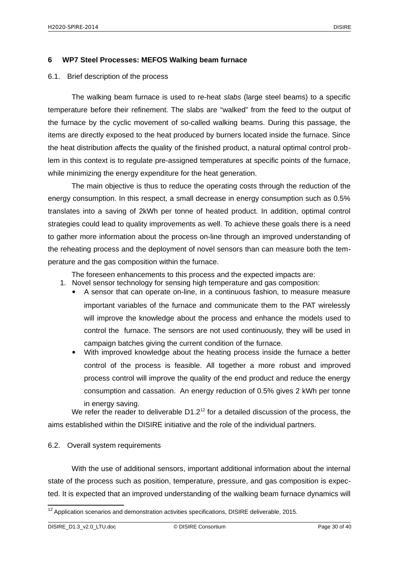#### <span id="page-29-2"></span>**6 WP7 Steel Processes: MEFOS Walking beam furnace**

#### <span id="page-29-1"></span>6.1. Brief description of the process

The walking beam furnace is used to re-heat *slabs* (large steel beams) to a specific temperature before their refinement. The slabs are "walked" from the feed to the output of the furnace by the cyclic movement of so-called walking beams. During this passage, the items are directly exposed to the heat produced by burners located inside the furnace. Since the heat distribution affects the quality of the finished product, a natural optimal control problem in this context is to regulate pre-assigned temperatures at specific points of the furnace, while minimizing the energy expenditure for the heat generation.

The main objective is thus to reduce the operating costs through the reduction of the energy consumption. In this respect, a small decrease in energy consumption such as 0.5% translates into a saving of 2kWh per tonne of heated product. In addition, optimal control strategies could lead to quality improvements as well. To achieve these goals there is a need to gather more information about the process on-line through an improved understanding of the reheating process and the deployment of novel sensors than can measure both the temperature and the gas composition within the furnace.

The foreseen enhancements to this process and the expected impacts are:

- 1. Novel sensor technology for sensing high temperature and gas composition:
	- A sensor that can operate on-line, in a continuous fashion, to measure measure important variables of the furnace and communicate them to the PAT wirelessly will improve the knowledge about the process and enhance the models used to control the furnace. The sensors are not used continuously, they will be used in campaign batches giving the current condition of the furnace.
	- With improved knowledge about the heating process inside the furnace a better control of the process is feasible. All together a more robust and improved process control will improve the quality of the end product and reduce the energy consumption and cassation. An energy reduction of 0.5% gives 2 kWh per tonne in energy saving.

We refer the reader to deliverable  $D1.2^{12}$  $D1.2^{12}$  $D1.2^{12}$  for a detailed discussion of the process, the aims established within the DISIRE initiative and the role of the individual partners.

#### <span id="page-29-0"></span>6.2. Overall system requirements

With the use of additional sensors, important additional information about the internal state of the process such as position, temperature, pressure, and gas composition is expected. It is expected that an improved understanding of the walking beam furnace dynamics will

<span id="page-29-3"></span> $12$  Application scenarios and demonstration activities specifications, DISIRE deliverable, 2015.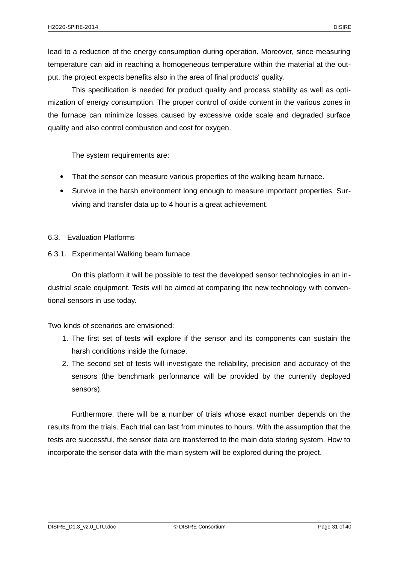lead to a reduction of the energy consumption during operation. Moreover, since measuring temperature can aid in reaching a homogeneous temperature within the material at the output, the project expects benefits also in the area of final products' quality.

This specification is needed for product quality and process stability as well as optimization of energy consumption. The proper control of oxide content in the various zones in the furnace can minimize losses caused by excessive oxide scale and degraded surface quality and also control combustion and cost for oxygen.

The system requirements are:

- That the sensor can measure various properties of the walking beam furnace.
- Survive in the harsh environment long enough to measure important properties. Surviving and transfer data up to 4 hour is a great achievement.

### <span id="page-30-1"></span>6.3. Evaluation Platforms

<span id="page-30-0"></span>6.3.1. Experimental Walking beam furnace

On this platform it will be possible to test the developed sensor technologies in an industrial scale equipment. Tests will be aimed at comparing the new technology with conventional sensors in use today.

Two kinds of scenarios are envisioned:

- 1. The first set of tests will explore if the sensor and its components can sustain the harsh conditions inside the furnace.
- 2. The second set of tests will investigate the reliability, precision and accuracy of the sensors (the benchmark performance will be provided by the currently deployed sensors).

Furthermore, there will be a number of trials whose exact number depends on the results from the trials. Each trial can last from minutes to hours. With the assumption that the tests are successful, the sensor data are transferred to the main data storing system. How to incorporate the sensor data with the main system will be explored during the project.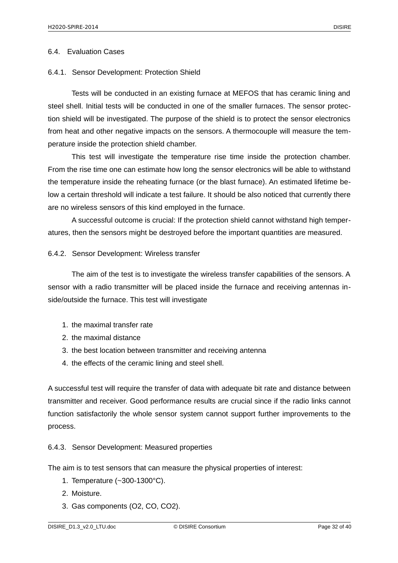#### <span id="page-31-3"></span>6.4. Evaluation Cases

#### <span id="page-31-2"></span>6.4.1. Sensor Development: Protection Shield

Tests will be conducted in an existing furnace at MEFOS that has ceramic lining and steel shell. Initial tests will be conducted in one of the smaller furnaces. The sensor protection shield will be investigated. The purpose of the shield is to protect the sensor electronics from heat and other negative impacts on the sensors. A thermocouple will measure the temperature inside the protection shield chamber.

This test will investigate the temperature rise time inside the protection chamber. From the rise time one can estimate how long the sensor electronics will be able to withstand the temperature inside the reheating furnace (or the blast furnace). An estimated lifetime below a certain threshold will indicate a test failure. It should be also noticed that currently there are no wireless sensors of this kind employed in the furnace.

A successful outcome is crucial: If the protection shield cannot withstand high temperatures, then the sensors might be destroyed before the important quantities are measured.

<span id="page-31-1"></span>6.4.2. Sensor Development: Wireless transfer

The aim of the test is to investigate the wireless transfer capabilities of the sensors. A sensor with a radio transmitter will be placed inside the furnace and receiving antennas inside/outside the furnace. This test will investigate

- 1. the maximal transfer rate
- 2. the maximal distance
- 3. the best location between transmitter and receiving antenna
- 4. the effects of the ceramic lining and steel shell.

A successful test will require the transfer of data with adequate bit rate and distance between transmitter and receiver. Good performance results are crucial since if the radio links cannot function satisfactorily the whole sensor system cannot support further improvements to the process.

### <span id="page-31-0"></span>6.4.3. Sensor Development: Measured properties

The aim is to test sensors that can measure the physical properties of interest:

- 1. Temperature (~300-1300°C).
- 2. Moisture.
- 3. Gas components (O2, CO, CO2).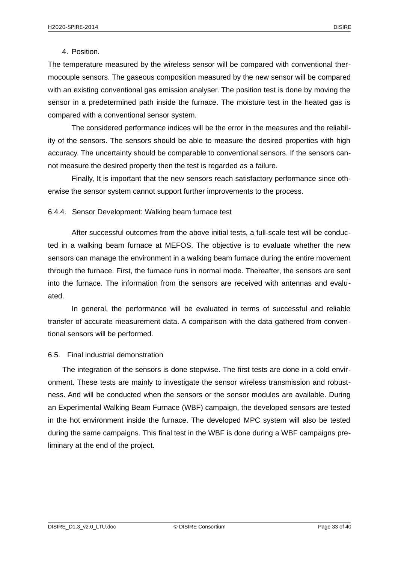#### 4. Position.

The temperature measured by the wireless sensor will be compared with conventional thermocouple sensors. The gaseous composition measured by the new sensor will be compared with an existing conventional gas emission analyser. The position test is done by moving the sensor in a predetermined path inside the furnace. The moisture test in the heated gas is compared with a conventional sensor system.

The considered performance indices will be the error in the measures and the reliability of the sensors. The sensors should be able to measure the desired properties with high accuracy. The uncertainty should be comparable to conventional sensors. If the sensors cannot measure the desired property then the test is regarded as a failure.

Finally, It is important that the new sensors reach satisfactory performance since otherwise the sensor system cannot support further improvements to the process.

#### <span id="page-32-1"></span>6.4.4. Sensor Development: Walking beam furnace test

After successful outcomes from the above initial tests, a full-scale test will be conducted in a walking beam furnace at MEFOS. The objective is to evaluate whether the new sensors can manage the environment in a walking beam furnace during the entire movement through the furnace. First, the furnace runs in normal mode. Thereafter, the sensors are sent into the furnace. The information from the sensors are received with antennas and evaluated.

In general, the performance will be evaluated in terms of successful and reliable transfer of accurate measurement data. A comparison with the data gathered from conventional sensors will be performed.

#### <span id="page-32-0"></span>6.5. Final industrial demonstration

The integration of the sensors is done stepwise. The first tests are done in a cold environment. These tests are mainly to investigate the sensor wireless transmission and robustness. And will be conducted when the sensors or the sensor modules are available. During an Experimental Walking Beam Furnace (WBF) campaign, the developed sensors are tested in the hot environment inside the furnace. The developed MPC system will also be tested during the same campaigns. This final test in the WBF is done during a WBF campaigns preliminary at the end of the project.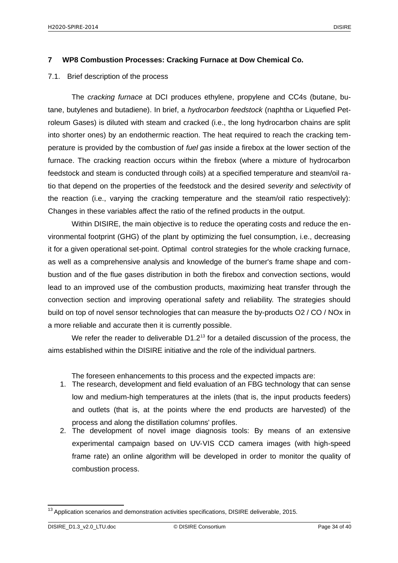#### <span id="page-33-1"></span>**7 WP8 Combustion Processes: Cracking Furnace at Dow Chemical Co.**

#### <span id="page-33-0"></span>7.1. Brief description of the process

The *cracking furnace* at DCI produces ethylene, propylene and CC4s (butane, butane, butylenes and butadiene). In brief, a *hydrocarbon feedstock* (naphtha or Liquefied Petroleum Gases) is diluted with steam and cracked (i.e., the long hydrocarbon chains are split into shorter ones) by an endothermic reaction. The heat required to reach the cracking temperature is provided by the combustion of *fuel gas* inside a firebox at the lower section of the furnace. The cracking reaction occurs within the firebox (where a mixture of hydrocarbon feedstock and steam is conducted through coils) at a specified temperature and steam/oil ratio that depend on the properties of the feedstock and the desired *severity* and *selectivity* of the reaction (i.e., varying the cracking temperature and the steam/oil ratio respectively): Changes in these variables affect the ratio of the refined products in the output.

Within DISIRE, the main objective is to reduce the operating costs and reduce the environmental footprint (GHG) of the plant by optimizing the fuel consumption, i.e., decreasing it for a given operational set-point. Optimal control strategies for the whole cracking furnace, as well as a comprehensive analysis and knowledge of the burner's frame shape and combustion and of the flue gases distribution in both the firebox and convection sections, would lead to an improved use of the combustion products, maximizing heat transfer through the convection section and improving operational safety and reliability. The strategies should build on top of novel sensor technologies that can measure the by-products O2 / CO / NOx in a more reliable and accurate then it is currently possible.

We refer the reader to deliverable  $D1.2<sup>13</sup>$  $D1.2<sup>13</sup>$  $D1.2<sup>13</sup>$  for a detailed discussion of the process, the aims established within the DISIRE initiative and the role of the individual partners.

The foreseen enhancements to this process and the expected impacts are:

- 1. The research, development and field evaluation of an FBG technology that can sense low and medium-high temperatures at the inlets (that is, the input products feeders) and outlets (that is, at the points where the end products are harvested) of the process and along the distillation columns' profiles.
- 2. The development of novel image diagnosis tools: By means of an extensive experimental campaign based on UV-VIS CCD camera images (with high-speed frame rate) an online algorithm will be developed in order to monitor the quality of combustion process.

<span id="page-33-2"></span> $^{13}$  Application scenarios and demonstration activities specifications, DISIRE deliverable, 2015.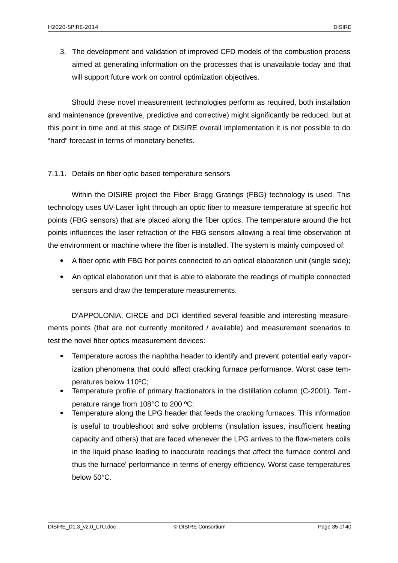3. The development and validation of improved CFD models of the combustion process aimed at generating information on the processes that is unavailable today and that will support future work on control optimization objectives.

Should these novel measurement technologies perform as required, both installation and maintenance (preventive, predictive and corrective) might significantly be reduced, but at this point in time and at this stage of DISIRE overall implementation it is not possible to do "hard" forecast in terms of monetary benefits.

## <span id="page-34-0"></span>7.1.1. Details on fiber optic based temperature sensors

Within the DISIRE project the Fiber Bragg Gratings (FBG) technology is used. This technology uses UV-Laser light through an optic fiber to measure temperature at specific hot points (FBG sensors) that are placed along the fiber optics. The temperature around the hot points influences the laser refraction of the FBG sensors allowing a real time observation of the environment or machine where the fiber is installed. The system is mainly composed of:

- A fiber optic with FBG hot points connected to an optical elaboration unit (single side);
- An optical elaboration unit that is able to elaborate the readings of multiple connected sensors and draw the temperature measurements.

D'APPOLONIA, CIRCE and DCI identified several feasible and interesting measurements points (that are not currently monitored / available) and measurement scenarios to test the novel fiber optics measurement devices:

- Temperature across the naphtha header to identify and prevent potential early vaporization phenomena that could affect cracking furnace performance. Worst case temperatures below 110ºC;
- Temperature profile of primary fractionators in the distillation column (C-2001). Temperature range from 108°C to 200 ºC;
- Temperature along the LPG header that feeds the cracking furnaces. This information is useful to troubleshoot and solve problems (insulation issues, insufficient heating capacity and others) that are faced whenever the LPG arrives to the flow-meters coils in the liquid phase leading to inaccurate readings that affect the furnace control and thus the furnace' performance in terms of energy efficiency. Worst case temperatures below 50°C.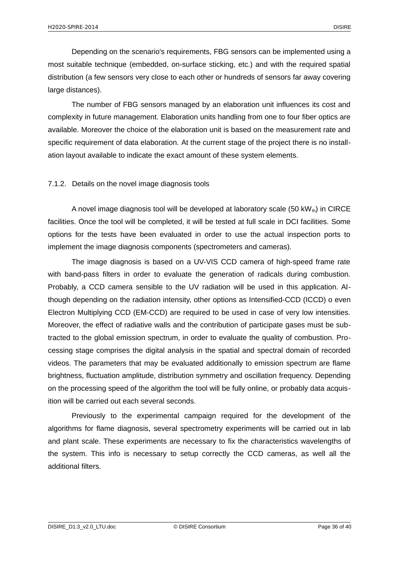Depending on the scenario's requirements, FBG sensors can be implemented using a most suitable technique (embedded, on-surface sticking, etc.) and with the required spatial distribution (a few sensors very close to each other or hundreds of sensors far away covering large distances).

The number of FBG sensors managed by an elaboration unit influences its cost and complexity in future management. Elaboration units handling from one to four fiber optics are available. Moreover the choice of the elaboration unit is based on the measurement rate and specific requirement of data elaboration. At the current stage of the project there is no installation layout available to indicate the exact amount of these system elements.

## <span id="page-35-0"></span>7.1.2. Details on the novel image diagnosis tools

A novel image diagnosis tool will be developed at laboratory scale (50 kW $_{\text{th}}$ ) in CIRCE facilities. Once the tool will be completed, it will be tested at full scale in DCI facilities. Some options for the tests have been evaluated in order to use the actual inspection ports to implement the image diagnosis components (spectrometers and cameras).

The image diagnosis is based on a UV-VIS CCD camera of high-speed frame rate with band-pass filters in order to evaluate the generation of radicals during combustion. Probably, a CCD camera sensible to the UV radiation will be used in this application. Although depending on the radiation intensity, other options as Intensified-CCD (ICCD) o even Electron Multiplying CCD (EM-CCD) are required to be used in case of very low intensities. Moreover, the effect of radiative walls and the contribution of participate gases must be subtracted to the global emission spectrum, in order to evaluate the quality of combustion. Processing stage comprises the digital analysis in the spatial and spectral domain of recorded videos. The parameters that may be evaluated additionally to emission spectrum are flame brightness, fluctuation amplitude, distribution symmetry and oscillation frequency. Depending on the processing speed of the algorithm the tool will be fully online, or probably data acquisition will be carried out each several seconds.

Previously to the experimental campaign required for the development of the algorithms for flame diagnosis, several spectrometry experiments will be carried out in lab and plant scale. These experiments are necessary to fix the characteristics wavelengths of the system. This info is necessary to setup correctly the CCD cameras, as well all the additional filters.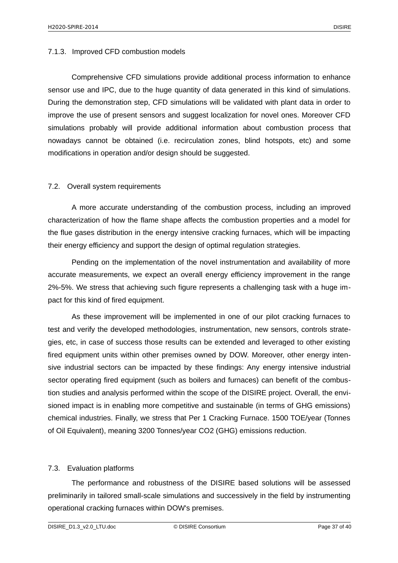## <span id="page-36-2"></span>7.1.3. Improved CFD combustion models

Comprehensive CFD simulations provide additional process information to enhance sensor use and IPC, due to the huge quantity of data generated in this kind of simulations. During the demonstration step, CFD simulations will be validated with plant data in order to improve the use of present sensors and suggest localization for novel ones. Moreover CFD simulations probably will provide additional information about combustion process that nowadays cannot be obtained (i.e. recirculation zones, blind hotspots, etc) and some modifications in operation and/or design should be suggested.

## <span id="page-36-1"></span>7.2. Overall system requirements

A more accurate understanding of the combustion process, including an improved characterization of how the flame shape affects the combustion properties and a model for the flue gases distribution in the energy intensive cracking furnaces, which will be impacting their energy efficiency and support the design of optimal regulation strategies.

Pending on the implementation of the novel instrumentation and availability of more accurate measurements, we expect an overall energy efficiency improvement in the range 2%-5%. We stress that achieving such figure represents a challenging task with a huge impact for this kind of fired equipment.

As these improvement will be implemented in one of our pilot cracking furnaces to test and verify the developed methodologies, instrumentation, new sensors, controls strategies, etc, in case of success those results can be extended and leveraged to other existing fired equipment units within other premises owned by DOW. Moreover, other energy intensive industrial sectors can be impacted by these findings: Any energy intensive industrial sector operating fired equipment (such as boilers and furnaces) can benefit of the combustion studies and analysis performed within the scope of the DISIRE project. Overall, the envisioned impact is in enabling more competitive and sustainable (in terms of GHG emissions) chemical industries. Finally, we stress that Per 1 Cracking Furnace. 1500 TOE/year (Tonnes of Oil Equivalent), meaning 3200 Tonnes/year CO2 (GHG) emissions reduction.

## <span id="page-36-0"></span>7.3. Evaluation platforms

The performance and robustness of the DISIRE based solutions will be assessed preliminarily in tailored small-scale simulations and successively in the field by instrumenting operational cracking furnaces within DOW's premises.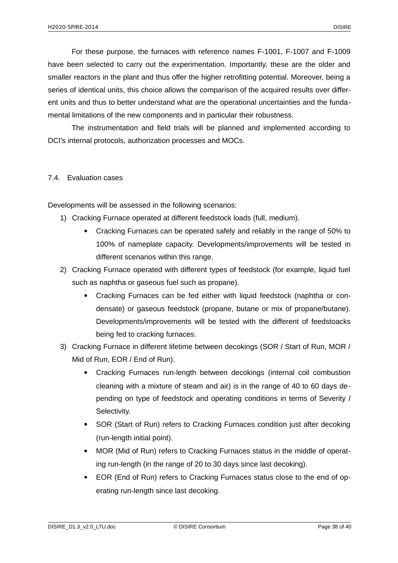For these purpose, the furnaces with reference names F-1001, F-1007 and F-1009 have been selected to carry out the experimentation. Importantly, these are the older and smaller reactors in the plant and thus offer the higher retrofitting potential. Moreover, being a series of identical units, this choice allows the comparison of the acquired results over different units and thus to better understand what are the operational uncertainties and the fundamental limitations of the new components and in particular their robustness.

The instrumentation and field trials will be planned and implemented according to DCI's internal protocols, authorization processes and MOCs.

### <span id="page-37-0"></span>7.4. Evaluation cases

Developments will be assessed in the following scenarios:

- 1) Cracking Furnace operated at different feedstock loads (full, medium).
	- Cracking Furnaces can be operated safely and reliably in the range of 50% to 100% of nameplate capacity. Developments/improvements will be tested in different scenarios within this range.
- 2) Cracking Furnace operated with different types of feedstock (for example, liquid fuel such as naphtha or gaseous fuel such as propane).
	- Cracking Furnaces can be fed either with liquid feedstock (naphtha or condensate) or gaseous feedstock (propane, butane or mix of propane/butane). Developments/improvements will be tested with the different of feedstoacks being fed to cracking furnaces.
- 3) Cracking Furnace in different lifetime between decokings (SOR / Start of Run, MOR / Mid of Run, EOR / End of Run).
	- Cracking Furnaces run-length between decokings (internal coil combustion cleaning with a mixture of steam and air) is in the range of 40 to 60 days depending on type of feedstock and operating conditions in terms of Severity / Selectivity.
	- SOR (Start of Run) refers to Cracking Furnaces condition just after decoking (run-length initial point).
	- MOR (Mid of Run) refers to Cracking Furnaces status in the middle of operating run-length (in the range of 20 to 30 days since last decoking).
	- EOR (End of Run) refers to Cracking Furnaces status close to the end of operating run-length since last decoking.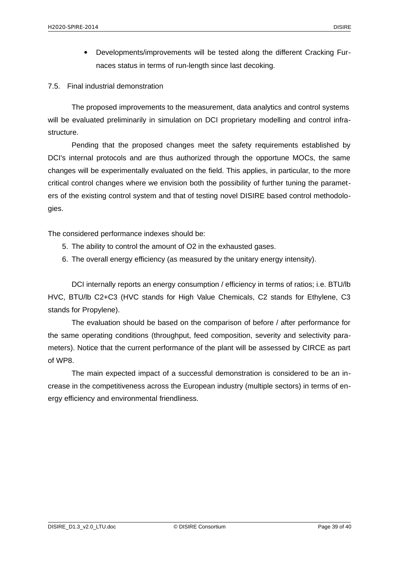Developments/improvements will be tested along the different Cracking Furnaces status in terms of run-length since last decoking.

<span id="page-38-0"></span>7.5. Final industrial demonstration

The proposed improvements to the measurement, data analytics and control systems will be evaluated preliminarily in simulation on DCI proprietary modelling and control infrastructure.

Pending that the proposed changes meet the safety requirements established by DCI's internal protocols and are thus authorized through the opportune MOCs, the same changes will be experimentally evaluated on the field. This applies, in particular, to the more critical control changes where we envision both the possibility of further tuning the parameters of the existing control system and that of testing novel DISIRE based control methodologies.

The considered performance indexes should be:

- 5. The ability to control the amount of O2 in the exhausted gases.
- 6. The overall energy efficiency (as measured by the unitary energy intensity).

DCI internally reports an energy consumption / efficiency in terms of ratios; i.e. BTU/lb HVC, BTU/lb C2+C3 (HVC stands for High Value Chemicals, C2 stands for Ethylene, C3 stands for Propylene).

The evaluation should be based on the comparison of before / after performance for the same operating conditions (throughput, feed composition, severity and selectivity parameters). Notice that the current performance of the plant will be assessed by CIRCE as part of WP8.

The main expected impact of a successful demonstration is considered to be an increase in the competitiveness across the European industry (multiple sectors) in terms of energy efficiency and environmental friendliness.